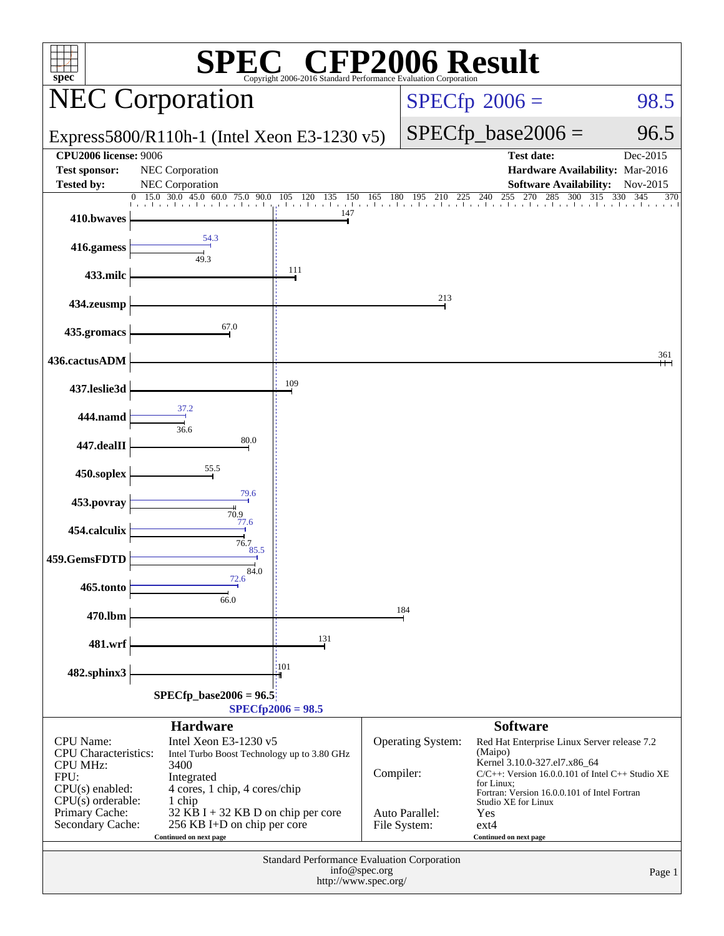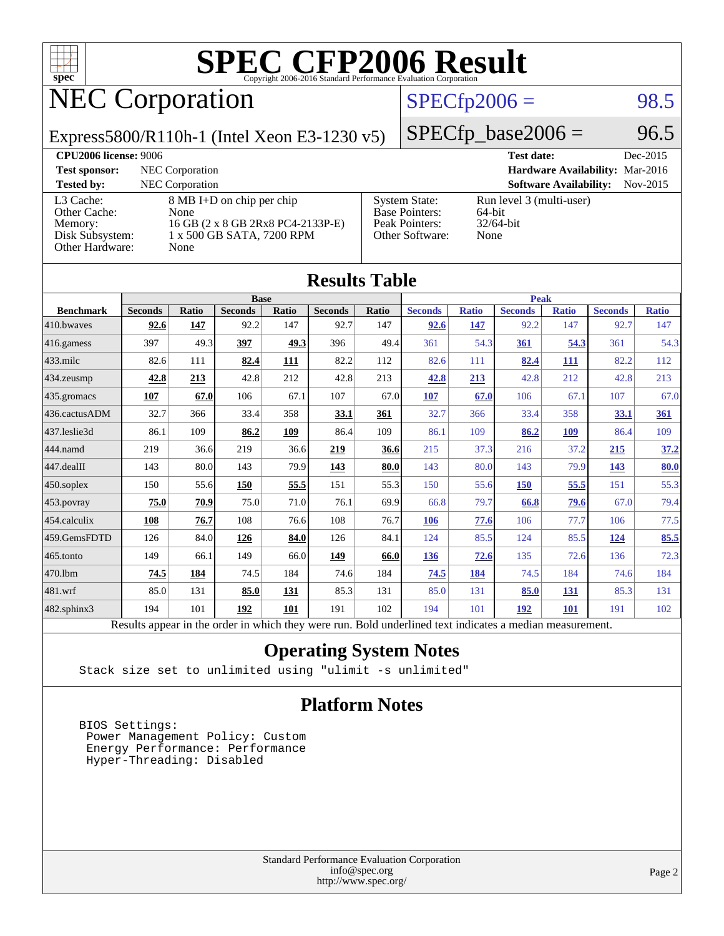

### NEC Corporation

### $SPECfp2006 = 98.5$  $SPECfp2006 = 98.5$

Express5800/R110h-1 (Intel Xeon E3-1230 v5)

 $SPECTp\_base2006 = 96.5$ 

| <b>CPU2006 license: 9006</b>                                               |                                                                                                             |                                                                                    | <b>Test date:</b><br>Dec-2015                              |  |
|----------------------------------------------------------------------------|-------------------------------------------------------------------------------------------------------------|------------------------------------------------------------------------------------|------------------------------------------------------------|--|
| <b>Test sponsor:</b>                                                       | NEC Corporation                                                                                             |                                                                                    | Hardware Availability: Mar-2016                            |  |
| <b>Tested by:</b>                                                          | <b>NEC</b> Corporation                                                                                      |                                                                                    | <b>Software Availability:</b><br>$Nov-2015$                |  |
| L3 Cache:<br>Other Cache:<br>Memory:<br>Disk Subsystem:<br>Other Hardware: | 8 MB I+D on chip per chip<br>None<br>16 GB (2 x 8 GB 2Rx8 PC4-2133P-E)<br>1 x 500 GB SATA, 7200 RPM<br>None | <b>System State:</b><br><b>Base Pointers:</b><br>Peak Pointers:<br>Other Software: | Run level 3 (multi-user)<br>64-bit<br>$32/64$ -bit<br>None |  |

**[Results Table](http://www.spec.org/auto/cpu2006/Docs/result-fields.html#ResultsTable)**

| Results Table    |                                                                                                          |                            |                |       |                |       |                |              |                |              |                |              |
|------------------|----------------------------------------------------------------------------------------------------------|----------------------------|----------------|-------|----------------|-------|----------------|--------------|----------------|--------------|----------------|--------------|
|                  |                                                                                                          | <b>Base</b><br><b>Peak</b> |                |       |                |       |                |              |                |              |                |              |
| <b>Benchmark</b> | <b>Seconds</b>                                                                                           | <b>Ratio</b>               | <b>Seconds</b> | Ratio | <b>Seconds</b> | Ratio | <b>Seconds</b> | <b>Ratio</b> | <b>Seconds</b> | <b>Ratio</b> | <b>Seconds</b> | <b>Ratio</b> |
| 410.bwayes       | 92.6                                                                                                     | 147                        | 92.2           | 147   | 92.7           | 147   | 92.6           | 147          | 92.2           | 147          | 92.7           | 147          |
| 416.gamess       | 397                                                                                                      | 49.3                       | 397            | 49.3  | 396            | 49.4  | 361            | 54.3         | 361            | 54.3         | 361            | 54.3         |
| $433$ .milc      | 82.6                                                                                                     | 111                        | 82.4           | 111   | 82.2           | 112   | 82.6           | 111          | 82.4           | 111          | 82.2           | 112          |
| 434.zeusmp       | 42.8                                                                                                     | 213                        | 42.8           | 212   | 42.8           | 213   | 42.8           | 213          | 42.8           | 212          | 42.8           | 213          |
| 435.gromacs      | 107                                                                                                      | 67.0                       | 106            | 67.1  | 107            | 67.0  | 107            | 67.0         | 106            | 67.1         | 107            | 67.0         |
| 436.cactusADM    | 32.7                                                                                                     | 366                        | 33.4           | 358   | 33.1           | 361   | 32.7           | 366          | 33.4           | 358          | 33.1           | 361          |
| 437.leslie3d     | 86.1                                                                                                     | 109                        | 86.2           | 109   | 86.4           | 109   | 86.1           | 109          | 86.2           | 109          | 86.4           | 109          |
| 444.namd         | 219                                                                                                      | 36.6                       | 219            | 36.6  | 219            | 36.6  | 215            | 37.3         | 216            | 37.2         | 215            | 37.2         |
| $447$ .dealII    | 143                                                                                                      | 80.0                       | 143            | 79.9  | 143            | 80.0  | 143            | 80.0         | 143            | 79.9         | 143            | 80.0         |
| $450$ .soplex    | 150                                                                                                      | 55.6                       | 150            | 55.5  | 151            | 55.3  | 150            | 55.6         | 150            | 55.5         | 151            | 55.3         |
| $453$ .povray    | 75.0                                                                                                     | 70.9                       | 75.0           | 71.0  | 76.1           | 69.9  | 66.8           | 79.7         | 66.8           | 79.6         | 67.0           | 79.4         |
| 454.calculix     | 108                                                                                                      | 76.7                       | 108            | 76.6  | 108            | 76.7  | <b>106</b>     | 77.6         | 106            | 77.7         | 106            | 77.5         |
| 459.GemsFDTD     | 126                                                                                                      | 84.0                       | 126            | 84.0  | 126            | 84.1  | 124            | 85.5         | 124            | 85.5         | <u>124</u>     | 85.5         |
| $465$ .tonto     | 149                                                                                                      | 66.1                       | 149            | 66.0  | 149            | 66.0  | 136            | 72.6         | 135            | 72.6         | 136            | 72.3         |
| 470.1bm          | 74.5                                                                                                     | 184                        | 74.5           | 184   | 74.6           | 184   | 74.5           | 184          | 74.5           | 184          | 74.6           | 184          |
| 481.wrf          | 85.0                                                                                                     | 131                        | 85.0           | 131   | 85.3           | 131   | 85.0           | 131          | 85.0           | 131          | 85.3           | 131          |
| 482.sphinx3      | 194                                                                                                      | 101                        | 192            | 101   | 191            | 102   | 194            | 101          | 192            | <b>101</b>   | 191            | 102          |
|                  | Results appear in the order in which they were run. Bold underlined text indicates a median measurement. |                            |                |       |                |       |                |              |                |              |                |              |

### **[Operating System Notes](http://www.spec.org/auto/cpu2006/Docs/result-fields.html#OperatingSystemNotes)**

Stack size set to unlimited using "ulimit -s unlimited"

#### **[Platform Notes](http://www.spec.org/auto/cpu2006/Docs/result-fields.html#PlatformNotes)**

 BIOS Settings: Power Management Policy: Custom Energy Performance: Performance Hyper-Threading: Disabled

> Standard Performance Evaluation Corporation [info@spec.org](mailto:info@spec.org) <http://www.spec.org/>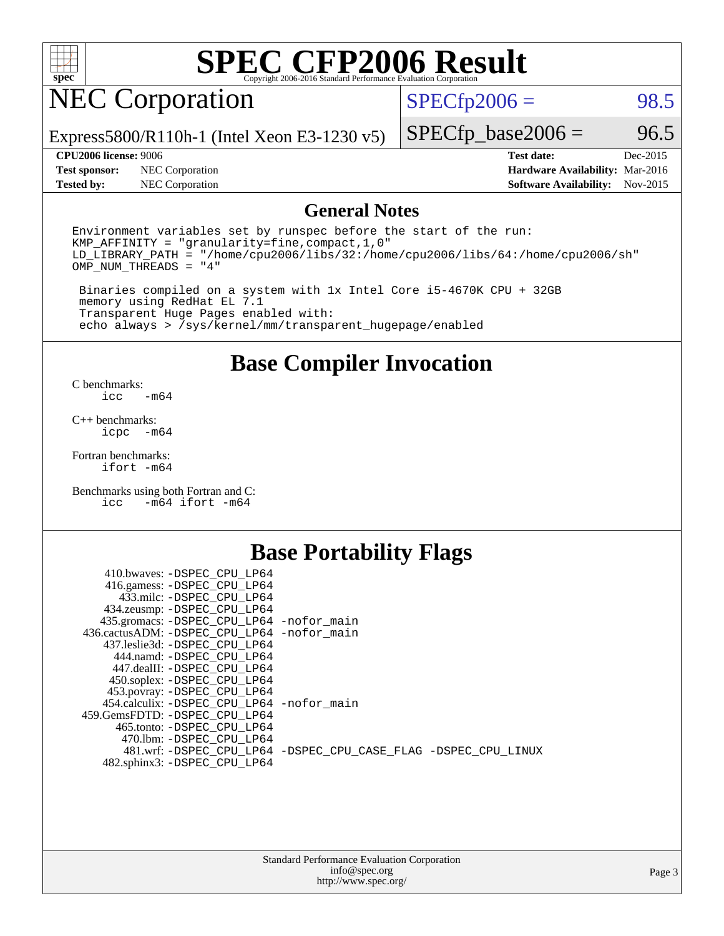

### NEC Corporation

 $SPECTp2006 = 98.5$ 

Express5800/R110h-1 (Intel Xeon E3-1230 v5)

#### **[CPU2006 license:](http://www.spec.org/auto/cpu2006/Docs/result-fields.html#CPU2006license)** 9006 **[Test date:](http://www.spec.org/auto/cpu2006/Docs/result-fields.html#Testdate)** Dec-2015

**[Test sponsor:](http://www.spec.org/auto/cpu2006/Docs/result-fields.html#Testsponsor)** NEC Corporation **[Hardware Availability:](http://www.spec.org/auto/cpu2006/Docs/result-fields.html#HardwareAvailability)** Mar-2016

 $SPECTp\_base2006 = 96.5$ 

**[Tested by:](http://www.spec.org/auto/cpu2006/Docs/result-fields.html#Testedby)** NEC Corporation **[Software Availability:](http://www.spec.org/auto/cpu2006/Docs/result-fields.html#SoftwareAvailability)** Nov-2015

### **[General Notes](http://www.spec.org/auto/cpu2006/Docs/result-fields.html#GeneralNotes)**

Environment variables set by runspec before the start of the run: KMP\_AFFINITY = "granularity=fine,compact,1,0" LD\_LIBRARY\_PATH = "/home/cpu2006/libs/32:/home/cpu2006/libs/64:/home/cpu2006/sh" OMP\_NUM\_THREADS = "4"

 Binaries compiled on a system with 1x Intel Core i5-4670K CPU + 32GB memory using RedHat EL 7.1 Transparent Huge Pages enabled with: echo always > /sys/kernel/mm/transparent\_hugepage/enabled

### **[Base Compiler Invocation](http://www.spec.org/auto/cpu2006/Docs/result-fields.html#BaseCompilerInvocation)**

[C benchmarks](http://www.spec.org/auto/cpu2006/Docs/result-fields.html#Cbenchmarks):  $-m64$ 

[C++ benchmarks:](http://www.spec.org/auto/cpu2006/Docs/result-fields.html#CXXbenchmarks) [icpc -m64](http://www.spec.org/cpu2006/results/res2016q1/cpu2006-20160125-38797.flags.html#user_CXXbase_intel_icpc_64bit_bedb90c1146cab66620883ef4f41a67e)

[Fortran benchmarks](http://www.spec.org/auto/cpu2006/Docs/result-fields.html#Fortranbenchmarks): [ifort -m64](http://www.spec.org/cpu2006/results/res2016q1/cpu2006-20160125-38797.flags.html#user_FCbase_intel_ifort_64bit_ee9d0fb25645d0210d97eb0527dcc06e)

[Benchmarks using both Fortran and C](http://www.spec.org/auto/cpu2006/Docs/result-fields.html#BenchmarksusingbothFortranandC): [icc -m64](http://www.spec.org/cpu2006/results/res2016q1/cpu2006-20160125-38797.flags.html#user_CC_FCbase_intel_icc_64bit_0b7121f5ab7cfabee23d88897260401c) [ifort -m64](http://www.spec.org/cpu2006/results/res2016q1/cpu2006-20160125-38797.flags.html#user_CC_FCbase_intel_ifort_64bit_ee9d0fb25645d0210d97eb0527dcc06e)

### **[Base Portability Flags](http://www.spec.org/auto/cpu2006/Docs/result-fields.html#BasePortabilityFlags)**

| 410.bwaves: -DSPEC CPU LP64                 |                                                                |
|---------------------------------------------|----------------------------------------------------------------|
| 416.gamess: -DSPEC_CPU_LP64                 |                                                                |
| 433.milc: -DSPEC CPU LP64                   |                                                                |
| 434.zeusmp: -DSPEC_CPU_LP64                 |                                                                |
| 435.gromacs: -DSPEC_CPU_LP64 -nofor_main    |                                                                |
| 436.cactusADM: -DSPEC CPU LP64 -nofor main  |                                                                |
| 437.leslie3d: -DSPEC CPU LP64               |                                                                |
| 444.namd: -DSPEC CPU LP64                   |                                                                |
| 447.dealII: -DSPEC CPU LP64                 |                                                                |
| 450.soplex: -DSPEC_CPU_LP64                 |                                                                |
| 453.povray: -DSPEC_CPU_LP64                 |                                                                |
| 454.calculix: - DSPEC CPU LP64 - nofor main |                                                                |
| 459.GemsFDTD: - DSPEC_CPU LP64              |                                                                |
| 465.tonto: - DSPEC CPU LP64                 |                                                                |
| 470.1bm: - DSPEC CPU LP64                   |                                                                |
|                                             | 481.wrf: -DSPEC CPU_LP64 -DSPEC_CPU_CASE_FLAG -DSPEC_CPU_LINUX |
| 482.sphinx3: -DSPEC_CPU_LP64                |                                                                |
|                                             |                                                                |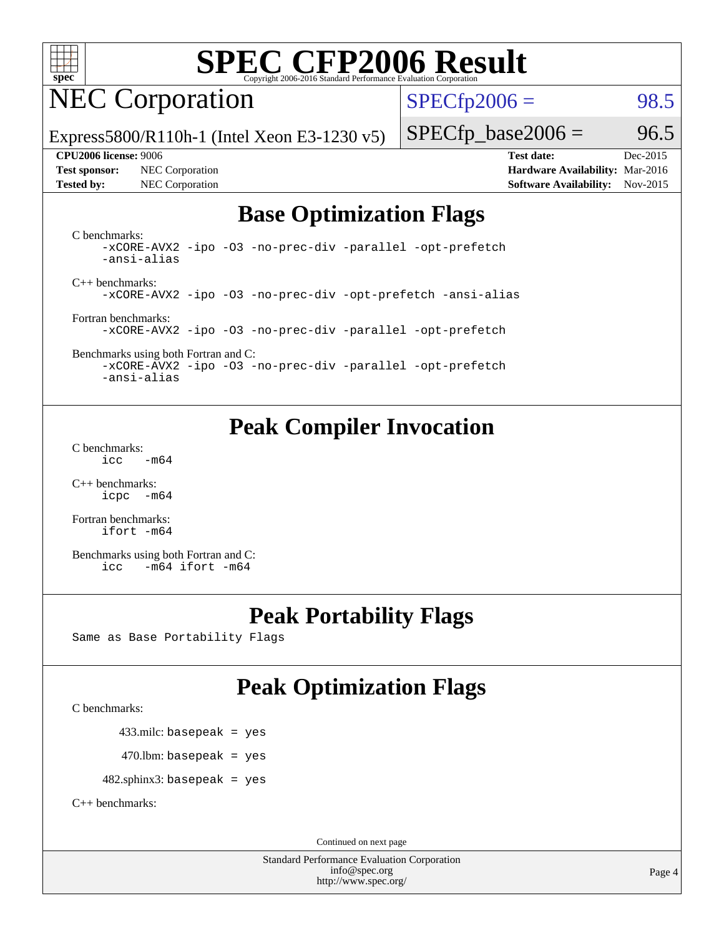

### NEC Corporation

 $SPECTp2006 = 98.5$ 

Express5800/R110h-1 (Intel Xeon E3-1230 v5)

**[Test sponsor:](http://www.spec.org/auto/cpu2006/Docs/result-fields.html#Testsponsor)** NEC Corporation **[Hardware Availability:](http://www.spec.org/auto/cpu2006/Docs/result-fields.html#HardwareAvailability)** Mar-2016

 $SPECTp\_base2006 = 96.5$ 

**[CPU2006 license:](http://www.spec.org/auto/cpu2006/Docs/result-fields.html#CPU2006license)** 9006 **[Test date:](http://www.spec.org/auto/cpu2006/Docs/result-fields.html#Testdate)** Dec-2015 **[Tested by:](http://www.spec.org/auto/cpu2006/Docs/result-fields.html#Testedby)** NEC Corporation **[Software Availability:](http://www.spec.org/auto/cpu2006/Docs/result-fields.html#SoftwareAvailability)** Nov-2015

### **[Base Optimization Flags](http://www.spec.org/auto/cpu2006/Docs/result-fields.html#BaseOptimizationFlags)**

[C benchmarks](http://www.spec.org/auto/cpu2006/Docs/result-fields.html#Cbenchmarks): [-xCORE-AVX2](http://www.spec.org/cpu2006/results/res2016q1/cpu2006-20160125-38797.flags.html#user_CCbase_f-xAVX2_5f5fc0cbe2c9f62c816d3e45806c70d7) [-ipo](http://www.spec.org/cpu2006/results/res2016q1/cpu2006-20160125-38797.flags.html#user_CCbase_f-ipo) [-O3](http://www.spec.org/cpu2006/results/res2016q1/cpu2006-20160125-38797.flags.html#user_CCbase_f-O3) [-no-prec-div](http://www.spec.org/cpu2006/results/res2016q1/cpu2006-20160125-38797.flags.html#user_CCbase_f-no-prec-div) [-parallel](http://www.spec.org/cpu2006/results/res2016q1/cpu2006-20160125-38797.flags.html#user_CCbase_f-parallel) [-opt-prefetch](http://www.spec.org/cpu2006/results/res2016q1/cpu2006-20160125-38797.flags.html#user_CCbase_f-opt-prefetch) [-ansi-alias](http://www.spec.org/cpu2006/results/res2016q1/cpu2006-20160125-38797.flags.html#user_CCbase_f-ansi-alias)

[C++ benchmarks:](http://www.spec.org/auto/cpu2006/Docs/result-fields.html#CXXbenchmarks) [-xCORE-AVX2](http://www.spec.org/cpu2006/results/res2016q1/cpu2006-20160125-38797.flags.html#user_CXXbase_f-xAVX2_5f5fc0cbe2c9f62c816d3e45806c70d7) [-ipo](http://www.spec.org/cpu2006/results/res2016q1/cpu2006-20160125-38797.flags.html#user_CXXbase_f-ipo) [-O3](http://www.spec.org/cpu2006/results/res2016q1/cpu2006-20160125-38797.flags.html#user_CXXbase_f-O3) [-no-prec-div](http://www.spec.org/cpu2006/results/res2016q1/cpu2006-20160125-38797.flags.html#user_CXXbase_f-no-prec-div) [-opt-prefetch](http://www.spec.org/cpu2006/results/res2016q1/cpu2006-20160125-38797.flags.html#user_CXXbase_f-opt-prefetch) [-ansi-alias](http://www.spec.org/cpu2006/results/res2016q1/cpu2006-20160125-38797.flags.html#user_CXXbase_f-ansi-alias)

[Fortran benchmarks](http://www.spec.org/auto/cpu2006/Docs/result-fields.html#Fortranbenchmarks): [-xCORE-AVX2](http://www.spec.org/cpu2006/results/res2016q1/cpu2006-20160125-38797.flags.html#user_FCbase_f-xAVX2_5f5fc0cbe2c9f62c816d3e45806c70d7) [-ipo](http://www.spec.org/cpu2006/results/res2016q1/cpu2006-20160125-38797.flags.html#user_FCbase_f-ipo) [-O3](http://www.spec.org/cpu2006/results/res2016q1/cpu2006-20160125-38797.flags.html#user_FCbase_f-O3) [-no-prec-div](http://www.spec.org/cpu2006/results/res2016q1/cpu2006-20160125-38797.flags.html#user_FCbase_f-no-prec-div) [-parallel](http://www.spec.org/cpu2006/results/res2016q1/cpu2006-20160125-38797.flags.html#user_FCbase_f-parallel) [-opt-prefetch](http://www.spec.org/cpu2006/results/res2016q1/cpu2006-20160125-38797.flags.html#user_FCbase_f-opt-prefetch)

[Benchmarks using both Fortran and C](http://www.spec.org/auto/cpu2006/Docs/result-fields.html#BenchmarksusingbothFortranandC): [-xCORE-AVX2](http://www.spec.org/cpu2006/results/res2016q1/cpu2006-20160125-38797.flags.html#user_CC_FCbase_f-xAVX2_5f5fc0cbe2c9f62c816d3e45806c70d7) [-ipo](http://www.spec.org/cpu2006/results/res2016q1/cpu2006-20160125-38797.flags.html#user_CC_FCbase_f-ipo) [-O3](http://www.spec.org/cpu2006/results/res2016q1/cpu2006-20160125-38797.flags.html#user_CC_FCbase_f-O3) [-no-prec-div](http://www.spec.org/cpu2006/results/res2016q1/cpu2006-20160125-38797.flags.html#user_CC_FCbase_f-no-prec-div) [-parallel](http://www.spec.org/cpu2006/results/res2016q1/cpu2006-20160125-38797.flags.html#user_CC_FCbase_f-parallel) [-opt-prefetch](http://www.spec.org/cpu2006/results/res2016q1/cpu2006-20160125-38797.flags.html#user_CC_FCbase_f-opt-prefetch) [-ansi-alias](http://www.spec.org/cpu2006/results/res2016q1/cpu2006-20160125-38797.flags.html#user_CC_FCbase_f-ansi-alias)

### **[Peak Compiler Invocation](http://www.spec.org/auto/cpu2006/Docs/result-fields.html#PeakCompilerInvocation)**

[C benchmarks](http://www.spec.org/auto/cpu2006/Docs/result-fields.html#Cbenchmarks):  $\text{icc}$   $-\text{m64}$ 

[C++ benchmarks:](http://www.spec.org/auto/cpu2006/Docs/result-fields.html#CXXbenchmarks) [icpc -m64](http://www.spec.org/cpu2006/results/res2016q1/cpu2006-20160125-38797.flags.html#user_CXXpeak_intel_icpc_64bit_bedb90c1146cab66620883ef4f41a67e)

[Fortran benchmarks](http://www.spec.org/auto/cpu2006/Docs/result-fields.html#Fortranbenchmarks): [ifort -m64](http://www.spec.org/cpu2006/results/res2016q1/cpu2006-20160125-38797.flags.html#user_FCpeak_intel_ifort_64bit_ee9d0fb25645d0210d97eb0527dcc06e)

[Benchmarks using both Fortran and C](http://www.spec.org/auto/cpu2006/Docs/result-fields.html#BenchmarksusingbothFortranandC): [icc -m64](http://www.spec.org/cpu2006/results/res2016q1/cpu2006-20160125-38797.flags.html#user_CC_FCpeak_intel_icc_64bit_0b7121f5ab7cfabee23d88897260401c) [ifort -m64](http://www.spec.org/cpu2006/results/res2016q1/cpu2006-20160125-38797.flags.html#user_CC_FCpeak_intel_ifort_64bit_ee9d0fb25645d0210d97eb0527dcc06e)

### **[Peak Portability Flags](http://www.spec.org/auto/cpu2006/Docs/result-fields.html#PeakPortabilityFlags)**

Same as Base Portability Flags

### **[Peak Optimization Flags](http://www.spec.org/auto/cpu2006/Docs/result-fields.html#PeakOptimizationFlags)**

[C benchmarks](http://www.spec.org/auto/cpu2006/Docs/result-fields.html#Cbenchmarks):

433.milc: basepeak = yes

 $470.$ lbm: basepeak = yes

482.sphinx3: basepeak = yes

[C++ benchmarks:](http://www.spec.org/auto/cpu2006/Docs/result-fields.html#CXXbenchmarks)

Continued on next page

Standard Performance Evaluation Corporation [info@spec.org](mailto:info@spec.org) <http://www.spec.org/>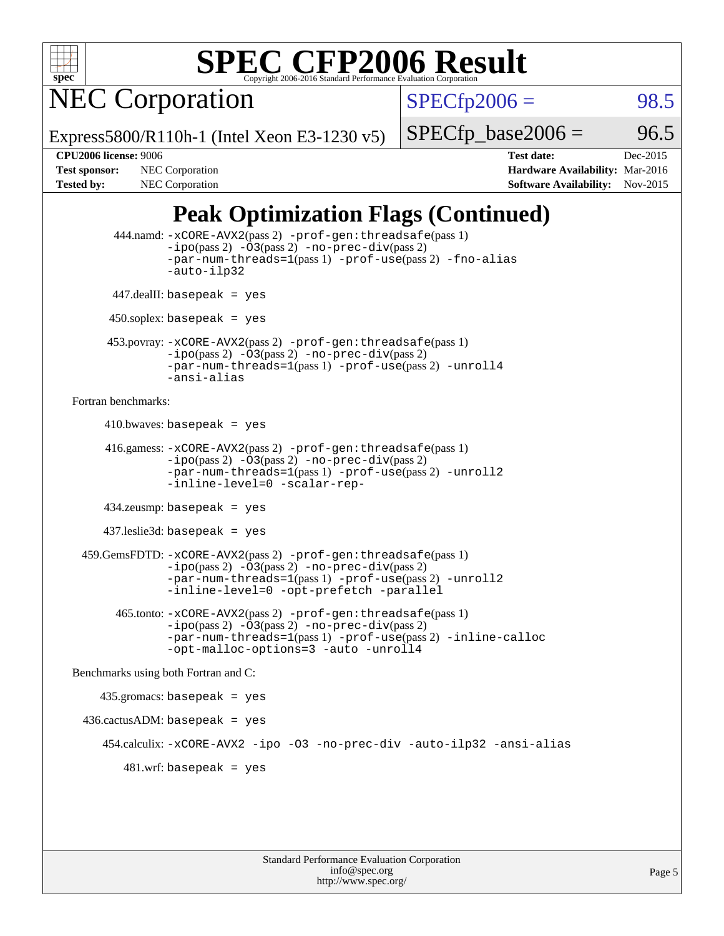

NEC Corporation

 $SPECTp2006 = 98.5$ 

Express5800/R110h-1 (Intel Xeon E3-1230 v5)

 $SPECTp\_base2006 = 96.5$ 

**[CPU2006 license:](http://www.spec.org/auto/cpu2006/Docs/result-fields.html#CPU2006license)** 9006 **[Test date:](http://www.spec.org/auto/cpu2006/Docs/result-fields.html#Testdate)** Dec-2015 **[Test sponsor:](http://www.spec.org/auto/cpu2006/Docs/result-fields.html#Testsponsor)** NEC Corporation **NEC Corporation [Hardware Availability:](http://www.spec.org/auto/cpu2006/Docs/result-fields.html#HardwareAvailability)** Mar-2016 [Tested by:](http://www.spec.org/auto/cpu2006/Docs/result-fields.html#Testedby) NEC Corporation **[Software Availability:](http://www.spec.org/auto/cpu2006/Docs/result-fields.html#SoftwareAvailability)** Nov-2015

### **[Peak Optimization Flags \(Continued\)](http://www.spec.org/auto/cpu2006/Docs/result-fields.html#PeakOptimizationFlags)**

```
 444.namd: -xCORE-AVX2(pass 2) -prof-gen:threadsafe(pass 1)
               -no-prec-div(pass 2)-par-num-threads=1(pass 1) -prof-use(pass 2) -fno-alias
               -auto-ilp32
      447.dealII: basepeak = yes
       450.soplex: basepeak = yes
      453.povray: -xCORE-AVX2(pass 2) -prof-gen:threadsafe(pass 1)
               -no-prec-div(pass 2)-par-num-threads=1(pass 1) -prof-use(pass 2) -unroll4
               -ansi-alias
Fortran benchmarks: 
     410.bwaves: basepeak = yes 416.gamess: -xCORE-AVX2(pass 2) -prof-gen:threadsafe(pass 1)
               -ipo(pass 2) -03(pass 2) -no-prec-div(pass 2)-par-num-threads=1(pass 1) -prof-use(pass 2) -unroll2
               -inline-level=0 -scalar-rep-
      434.zeusmp: basepeak = yes
      437.leslie3d: basepeak = yes
  459.GemsFDTD: -xCORE-AVX2(pass 2) -prof-gen:threadsafe(pass 1)
               -i\text{po}(pass 2) -\tilde{O}3(pass 2)-no-prec-div(pass 2)
               -par-num-threads=1(pass 1) -prof-use(pass 2) -unroll2
               -inline-level=0 -opt-prefetch -parallel
        465.tonto: -xCORE-AVX2(pass 2) -prof-gen:threadsafe(pass 1)
               -i\text{po}(pass 2) -03(pass 2)-no-prec-div(pass 2)
               -par-num-threads=1(pass 1) -prof-use(pass 2) -inline-calloc
               -opt-malloc-options=3 -auto -unroll4
Benchmarks using both Fortran and C: 
     435.gromacs: basepeak = yes
  436.cactusADM: basepeak = yes
      454.calculix: -xCORE-AVX2 -ipo -O3 -no-prec-div -auto-ilp32 -ansi-alias
        481 \text{.m}: basepeak = yes
```